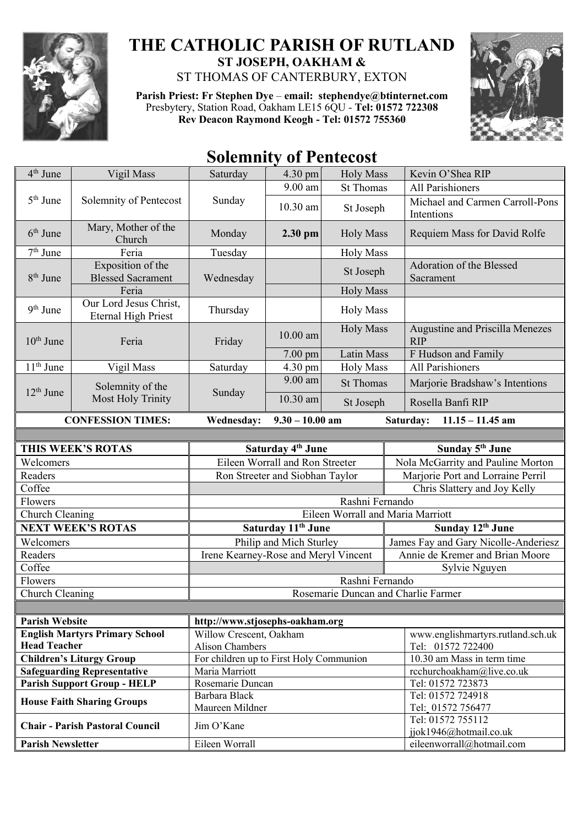

## **THE CATHOLIC PARISH OF RUTLAND ST JOSEPH, OAKHAM &**  ST THOMAS OF CANTERBURY, EXTON

**Parish Priest: Fr Stephen Dye** – **[email: stephendye@btinternet.com](mailto:email:%20%20stephendye@btinternet.com)** Presbytery, Station Road, Oakham LE15 6QU - **Tel: 01572 722308 Rev Deacon Raymond Keogh - Tel: 01572 755360**



## **Solemnity of Pentecost**

| 4 <sup>th</sup> June                           | Vigil Mass                                           | Saturday                                | 4.30 pm                        | <b>Holy Mass</b> | Kevin O'Shea RIP                                    |
|------------------------------------------------|------------------------------------------------------|-----------------------------------------|--------------------------------|------------------|-----------------------------------------------------|
|                                                |                                                      |                                         | 9.00 am                        | <b>St Thomas</b> | <b>All Parishioners</b>                             |
| 5 <sup>th</sup> June<br>Solemnity of Pentecost |                                                      | Sunday                                  | 10.30 am                       | St Joseph        | Michael and Carmen Carroll-Pons<br>Intentions       |
| $6th$ June                                     | Mary, Mother of the<br>Church                        | Monday                                  | $2.30$ pm                      | <b>Holy Mass</b> | Requiem Mass for David Rolfe                        |
| $7th$ June                                     | Feria                                                | Tuesday                                 |                                | <b>Holy Mass</b> |                                                     |
| $8th$ June                                     | Exposition of the<br><b>Blessed Sacrament</b>        | Wednesday                               |                                | St Joseph        | Adoration of the Blessed<br>Sacrament               |
|                                                | Feria                                                |                                         |                                | <b>Holy Mass</b> |                                                     |
| 9 <sup>th</sup> June                           | Our Lord Jesus Christ,<br><b>Eternal High Priest</b> | Thursday                                |                                | <b>Holy Mass</b> |                                                     |
| $10th$ June                                    | Feria                                                | Friday                                  | $10.00$ am                     | <b>Holy Mass</b> | Augustine and Priscilla Menezes<br><b>RIP</b>       |
|                                                |                                                      |                                         | 7.00 pm                        | Latin Mass       | F Hudson and Family                                 |
| $11th$ June                                    | Vigil Mass                                           | Saturday                                | 4.30 pm                        | <b>Holy Mass</b> | All Parishioners                                    |
| $12th$ June                                    | Solemnity of the                                     | Sunday                                  | 9.00 am                        | <b>St Thomas</b> | Marjorie Bradshaw's Intentions                      |
|                                                | <b>Most Holy Trinity</b>                             |                                         | 10.30 am                       | St Joseph        | Rosella Banfi RIP                                   |
|                                                | <b>CONFESSION TIMES:</b>                             | <b>Wednesday:</b>                       | $9.30 - 10.00$ am              |                  | Saturday:<br>$11.15 - 11.45$ am                     |
|                                                |                                                      |                                         |                                |                  |                                                     |
|                                                | THIS WEEK'S ROTAS                                    |                                         | Saturday 4 <sup>th</sup> June  |                  | Sunday 5 <sup>th</sup> June                         |
| Welcomers                                      |                                                      | Eileen Worrall and Ron Streeter         |                                |                  | Nola McGarrity and Pauline Morton                   |
| Readers                                        |                                                      | Ron Streeter and Siobhan Taylor         |                                |                  |                                                     |
|                                                |                                                      |                                         |                                |                  | Marjorie Port and Lorraine Perril                   |
| Coffee                                         |                                                      |                                         |                                |                  | Chris Slattery and Joy Kelly                        |
| Flowers                                        |                                                      |                                         |                                | Rashni Fernando  |                                                     |
| Church Cleaning                                |                                                      |                                         |                                |                  | Eileen Worrall and Maria Marriott                   |
|                                                | <b>NEXT WEEK'S ROTAS</b>                             |                                         | Saturday 11 <sup>th</sup> June |                  | Sunday 12th June                                    |
| Welcomers                                      |                                                      |                                         | Philip and Mich Sturley        |                  | James Fay and Gary Nicolle-Anderiesz                |
| Readers                                        |                                                      | Irene Kearney-Rose and Meryl Vincent    |                                |                  | Annie de Kremer and Brian Moore                     |
| Coffee                                         |                                                      |                                         |                                |                  | Sylvie Nguyen                                       |
| Flowers                                        |                                                      |                                         |                                | Rashni Fernando  |                                                     |
| Church Cleaning                                |                                                      |                                         |                                |                  | Rosemarie Duncan and Charlie Farmer                 |
|                                                |                                                      |                                         |                                |                  |                                                     |
| <b>Parish Website</b>                          |                                                      | http://www.stjosephs-oakham.org         |                                |                  |                                                     |
|                                                | <b>English Martyrs Primary School</b>                | Willow Crescent, Oakham                 |                                |                  | www.englishmartyrs.rutland.sch.uk                   |
| <b>Head Teacher</b>                            |                                                      | Alison Chambers                         |                                |                  | Tel: 01572 722400                                   |
|                                                | <b>Children's Liturgy Group</b>                      | For children up to First Holy Communion |                                |                  | 10.30 am Mass in term time                          |
|                                                | <b>Safeguarding Representative</b>                   | Maria Marriott<br>Rosemarie Duncan      |                                |                  | rcchurchoakham@live.co.uk<br>Tel: 01572 723873      |
|                                                | <b>Parish Support Group - HELP</b>                   | Barbara Black                           |                                |                  | Tel: 01572 724918                                   |
|                                                | <b>House Faith Sharing Groups</b>                    | Maureen Mildner                         |                                |                  | Tel: 01572 756477                                   |
|                                                | <b>Chair - Parish Pastoral Council</b>               | Jim O'Kane                              |                                |                  | Tel: 01572 755112                                   |
| <b>Parish Newsletter</b>                       |                                                      | Eileen Worrall                          |                                |                  | jjok1946@hotmail.co.uk<br>eileenworrall@hotmail.com |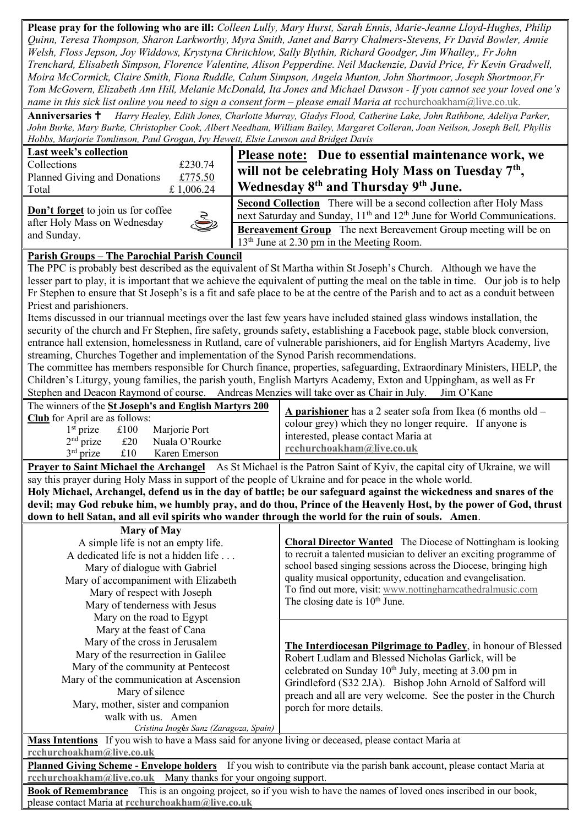**Please pray for the following who are ill:** *Colleen Lully, Mary Hurst, Sarah Ennis, Marie-Jeanne Lloyd-Hughes, Philip Quinn, Teresa Thompson, Sharon Larkworthy, Myra Smith, Janet and Barry Chalmers-Stevens, Fr David Bowler, Annie Welsh, Floss Jepson, Joy Widdows, Krystyna Chritchlow, Sally Blythin, Richard Goodger, Jim Whalley,, Fr John Trenchard, Elisabeth Simpson, Florence Valentine, Alison Pepperdine. Neil Mackenzie, David Price, Fr Kevin Gradwell, Moira McCormick, Claire Smith, Fiona Ruddle, Calum Simpson, Angela Munton, John Shortmoor, Joseph Shortmoor,Fr Tom McGovern, Elizabeth Ann Hill, Melanie McDonald, Ita Jones and Michael Dawson - If you cannot see your loved one's name in this sick list online you need to sign a consent form – please email Maria at rechurchoakham@live.co.uk.* 

**Anniversaries** *Harry Healey, Edith Jones, Charlotte Murray, Gladys Flood, Catherine Lake, John Rathbone, Adeliya Parker, John Burke, Mary Burke, Christopher Cook, Albert Needham, William Bailey, Margaret Colleran, Joan Neilson, Joseph Bell, Phyllis Hobbs, Marjorie Tomlinson, Paul Grogan, Ivy Hewett, Elsie Lawson and Bridget Davis*

| Last week's collection       |            |  |  |  |
|------------------------------|------------|--|--|--|
| Collections                  | £230.74    |  |  |  |
| Planned Giving and Donations | £775.50    |  |  |  |
| Total                        | £ 1,006.24 |  |  |  |

## **Please note: Due to essential maintenance work, we will not be celebrating Holy Mass on Tuesday 7th , Wednesday 8th and Thursday 9th June.**

**Don't forget** to join us for coffee after Holy Mass on Wednesday and Sunday.

| .<br>ш |
|--------|
|        |
|        |
|        |
|        |
|        |
|        |

**Second Collection** There will be a second collection after Holy Mass next Saturday and Sunday, 11<sup>th</sup> and 12<sup>th</sup> June for World Communications. **Bereavement Group** The next Bereavement Group meeting will be on  $13<sup>th</sup>$  June at 2.30 pm in the Meeting Room.

## **Parish Groups – The Parochial Parish Council**

The PPC is probably best described as the equivalent of St Martha within St Joseph's Church. Although we have the lesser part to play, it is important that we achieve the equivalent of putting the meal on the table in time. Our job is to help Fr Stephen to ensure that St Joseph's is a fit and safe place to be at the centre of the Parish and to act as a conduit between Priest and parishioners.

Items discussed in our triannual meetings over the last few years have included stained glass windows installation, the security of the church and Fr Stephen, fire safety, grounds safety, establishing a Facebook page, stable block conversion, entrance hall extension, homelessness in Rutland, care of vulnerable parishioners, aid for English Martyrs Academy, live streaming, Churches Together and implementation of the Synod Parish recommendations.

The committee has members responsible for Church finance, properties, safeguarding, Extraordinary Ministers, HELP, the Children's Liturgy, young families, the parish youth, English Martyrs Academy, Exton and Uppingham, as well as Fr Stephen and Deacon Raymond of course. Andreas Menzies will take over as Chair in July. Jim O'Kane

|                                       |             | The winners of the St Joseph's and English Martyrs 200 | A parishioner has a 2 seater sofa from Ikea (6 months old $-$                |  |  |
|---------------------------------------|-------------|--------------------------------------------------------|------------------------------------------------------------------------------|--|--|
| <b>Club</b> for April are as follows: |             |                                                        | colour grey) which they no longer require. If anyone is                      |  |  |
| $1st$ prize<br>$2nd$ prize            | £100<br>£20 | Marjorie Port<br>Nuala O'Rourke                        | interested, please contact Maria at<br>$\mathbf{r}$ cchurchoakham@live.co.uk |  |  |
| $3rd$ prize                           | £10         | Karen Emerson                                          |                                                                              |  |  |

**Prayer to Saint Michael the Archangel** As St Michael is the Patron Saint of Kyiv, the capital city of Ukraine, we will say this prayer during Holy Mass in support of the people of Ukraine and for peace in the whole world. **Holy Michael, Archangel, defend us in the day of battle; be our safeguard against the wickedness and snares of the devil; may God rebuke him, we humbly pray, and do thou, Prince of the Heavenly Host, by the power of God, thrust down to hell Satan, and all evil spirits who wander through the world for the ruin of souls. Amen**.

| <b>Mary of May</b>                     |                                                                                                                                                                                                                                                                  |  |  |
|----------------------------------------|------------------------------------------------------------------------------------------------------------------------------------------------------------------------------------------------------------------------------------------------------------------|--|--|
| A simple life is not an empty life.    | <b>Choral Director Wanted</b> The Diocese of Nottingham is looking                                                                                                                                                                                               |  |  |
| A dedicated life is not a hidden life  | to recruit a talented musician to deliver an exciting programme of<br>school based singing sessions across the Diocese, bringing high<br>quality musical opportunity, education and evangelisation.<br>To find out more, visit: www.nottinghamcathedralmusic.com |  |  |
| Mary of dialogue with Gabriel          |                                                                                                                                                                                                                                                                  |  |  |
| Mary of accompaniment with Elizabeth   |                                                                                                                                                                                                                                                                  |  |  |
| Mary of respect with Joseph            |                                                                                                                                                                                                                                                                  |  |  |
| Mary of tenderness with Jesus          | The closing date is 10 <sup>th</sup> June.                                                                                                                                                                                                                       |  |  |
| Mary on the road to Egypt              |                                                                                                                                                                                                                                                                  |  |  |
| Mary at the feast of Cana              |                                                                                                                                                                                                                                                                  |  |  |
| Mary of the cross in Jerusalem         | The Interdiocesan Pilgrimage to Padley, in honour of Blessed                                                                                                                                                                                                     |  |  |
| Mary of the resurrection in Galilee    | Robert Ludlam and Blessed Nicholas Garlick, will be<br>celebrated on Sunday 10th July, meeting at 3.00 pm in                                                                                                                                                     |  |  |
| Mary of the community at Pentecost     |                                                                                                                                                                                                                                                                  |  |  |
| Mary of the communication at Ascension | Grindleford (S32 2JA). Bishop John Arnold of Salford will                                                                                                                                                                                                        |  |  |
| Mary of silence                        | preach and all are very welcome. See the poster in the Church<br>porch for more details.                                                                                                                                                                         |  |  |
| Mary, mother, sister and companion     |                                                                                                                                                                                                                                                                  |  |  |
| walk with us. Amen                     |                                                                                                                                                                                                                                                                  |  |  |
| Cristina Inogés Sanz (Zaragoza, Spain) |                                                                                                                                                                                                                                                                  |  |  |

**Mass Intentions** If you wish to have a Mass said for anyone living or deceased, please contact Maria at **[rcchurchoakham@live.co.uk](mailto:rcchurchoakham@live.co.uk)**

**Planned Giving Scheme - Envelope holders** If you wish to contribute via the parish bank account, please contact Maria at **[rcchurchoakham@live.co.uk](mailto:rcchurchoakham@live.co.uk)** Many thanks for your ongoing support.

**Book of Remembrance** This is an ongoing project, so if you wish to have the names of loved ones inscribed in our book, please contact Maria at **[rcchurchoakham@live.co.uk](mailto:rcchurchoakham@live.co.uk)**